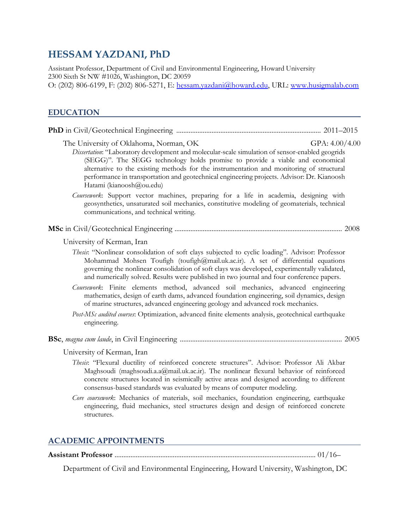# **HESSAM YAZDANI, PhD**

Assistant Professor, Department of Civil and Environmental Engineering, Howard University 2300 Sixth St NW #1026, Washington, DC 20059 O: (202) 806-6199, F: (202) 806-5271, E: [hessam.yazdani@howard.edu,](mailto:hessam.yazdani@howard.edu) URL: [www.husigmalab.com](http://www.husigmalab.com/) 

# **EDUCATION**

| The University of Oklahoma, Norman, OK<br>Dissertation: "Laboratory development and molecular-scale simulation of sensor-enabled geogrids<br>(SEGG)". The SEGG technology holds promise to provide a viable and economical<br>alternative to the existing methods for the instrumentation and monitoring of structural<br>performance in transportation and geotechnical engineering projects. Advisor: Dr. Kianoosh<br>Hatami (kianoosh@ou.edu) | GPA: $4.00/4.00$ |
|--------------------------------------------------------------------------------------------------------------------------------------------------------------------------------------------------------------------------------------------------------------------------------------------------------------------------------------------------------------------------------------------------------------------------------------------------|------------------|
| Coursework: Support vector machines, preparing for a life in academia, designing with<br>geosynthetics, unsaturated soil mechanics, constitutive modeling of geomaterials, technical<br>communications, and technical writing.                                                                                                                                                                                                                   |                  |
|                                                                                                                                                                                                                                                                                                                                                                                                                                                  |                  |
| University of Kerman, Iran                                                                                                                                                                                                                                                                                                                                                                                                                       |                  |
| Thesis: "Nonlinear consolidation of soft clays subjected to cyclic loading". Advisor: Professor<br>Mohammad Mohsen Toufigh (toufigh@mail.uk.ac.ir). A set of differential equations<br>governing the nonlinear consolidation of soft clays was developed, experimentally validated,<br>and numerically solved. Results were published in two journal and four conference papers.                                                                 |                  |
| Coursework: Finite elements method, advanced soil mechanics, advanced engineering<br>mathematics, design of earth dams, advanced foundation engineering, soil dynamics, design<br>of marine structures, advanced engineering geology and advanced rock mechanics.                                                                                                                                                                                |                  |
| Post-MSc audited courses: Optimization, advanced finite elements analysis, geotechnical earthquake<br>engineering.                                                                                                                                                                                                                                                                                                                               |                  |
|                                                                                                                                                                                                                                                                                                                                                                                                                                                  |                  |
| University of Kerman, Iran                                                                                                                                                                                                                                                                                                                                                                                                                       |                  |
| Thesis: "Flexural ductility of reinforced concrete structures". Advisor: Professor Ali Akbar<br>Maghsoudi (maghsoudi.a.a@mail.uk.ac.ir). The nonlinear flexural behavior of reinforced<br>concrete structures located in seismically active areas and designed according to different<br>consensus-based standards was evaluated by means of computer modeling.                                                                                  |                  |
| Core coursework: Mechanics of materials, soil mechanics, foundation engineering, earthquake<br>engineering, fluid mechanics, steel structures design and design of reinforced concrete<br>structures.                                                                                                                                                                                                                                            |                  |
|                                                                                                                                                                                                                                                                                                                                                                                                                                                  |                  |

# **ACADEMIC APPOINTMENTS**

**Assistant Professor** .................................................................................................................. 01/16–

Department of Civil and Environmental Engineering, Howard University, Washington, DC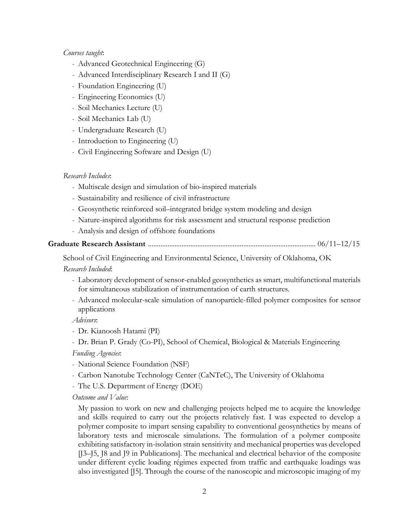#### *Courses taught*:

- Advanced Geotechnical Engineering (G)
- Advanced Interdisciplinary Research I and II (G)
- Foundation Engineering (U)
- Engineering Economics (U)
- Soil Mechanics Lecture (U)
- Soil Mechanics Lab (U)
- Undergraduate Research (U)
- Introduction to Engineering (U)
- Civil Engineering Software and Design (U)

#### *Research Includes*:

- Multiscale design and simulation of bio-inspired materials
- Sustainability and resilience of civil infrastructure
- Geosynthetic reinforced soil–integrated bridge system modeling and design
- Nature-inspired algorithms for risk assessment and structural response prediction
- Analysis and design of offshore foundations

#### **Graduate Research Assistant** ............................................................................................... 06/11–12/15

School of Civil Engineering and Environmental Science, University of Oklahoma, OK *Research Included*:

- Laboratory development of sensor-enabled geosynthetics as smart, multifunctional materials for simultaneous stabilization of instrumentation of earth structures.
- Advanced molecular-scale simulation of nanoparticle-filled polymer composites for sensor applications

*Advisors*:

- Dr. Kianoosh Hatami (PI)
- Dr. Brian P. Grady (Co-PI), School of Chemical, Biological & Materials Engineering

*Funding Agencies*:

- National Science Foundation (NSF)
- Carbon Nanotube Technology Center (CaNTeC), The University of Oklahoma
- The U.S. Department of Energy (DOE)

*Outcome and Value*:

My passion to work on new and challenging projects helped me to acquire the knowledge and skills required to carry out the projects relatively fast. I was expected to develop a polymer composite to impart sensing capability to conventional geosynthetics by means of laboratory tests and microscale simulations. The formulation of a polymer composite exhibiting satisfactory in-isolation strain sensitivity and mechanical properties was developed [J3–J5, J8 and J9 in Publications]. The mechanical and electrical behavior of the composite under different cyclic loading régimes expected from traffic and earthquake loadings was also investigated [J5]. Through the course of the nanoscopic and microscopic imaging of my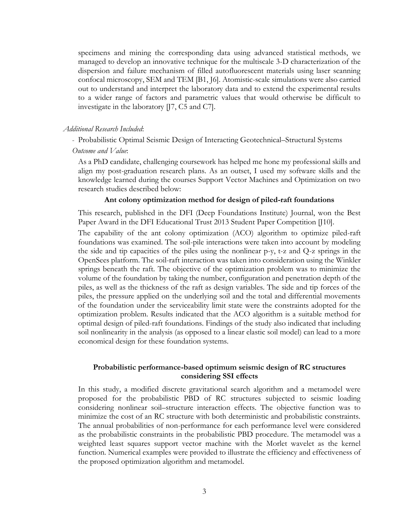specimens and mining the corresponding data using advanced statistical methods, we managed to develop an innovative technique for the multiscale 3-D characterization of the dispersion and failure mechanism of filled autofluorescent materials using laser scanning confocal microscopy, SEM and TEM [B1, J6]. Atomistic-scale simulations were also carried out to understand and interpret the laboratory data and to extend the experimental results to a wider range of factors and parametric values that would otherwise be difficult to investigate in the laboratory [J7, C5 and C7].

#### *Additional Research Included*:

- Probabilistic Optimal Seismic Design of Interacting Geotechnical–Structural Systems

#### *Outcome and Value*:

As a PhD candidate, challenging coursework has helped me hone my professional skills and align my post-graduation research plans. As an outset, I used my software skills and the knowledge learned during the courses Support Vector Machines and Optimization on two research studies described below:

#### **Ant colony optimization method for design of piled-raft foundations**

This research, published in the DFI (Deep Foundations Institute) Journal, won the Best Paper Award in the DFI Educational Trust 2013 Student Paper Competition [J10].

The capability of the ant colony optimization (ACO) algorithm to optimize piled-raft foundations was examined. The soil-pile interactions were taken into account by modeling the side and tip capacities of the piles using the nonlinear p-y, t-z and Q-z springs in the OpenSees platform. The soil-raft interaction was taken into consideration using the Winkler springs beneath the raft. The objective of the optimization problem was to minimize the volume of the foundation by taking the number, configuration and penetration depth of the piles, as well as the thickness of the raft as design variables. The side and tip forces of the piles, the pressure applied on the underlying soil and the total and differential movements of the foundation under the serviceability limit state were the constraints adopted for the optimization problem. Results indicated that the ACO algorithm is a suitable method for optimal design of piled-raft foundations. Findings of the study also indicated that including soil nonlinearity in the analysis (as opposed to a linear elastic soil model) can lead to a more economical design for these foundation systems.

#### **Probabilistic performance-based optimum seismic design of RC structures considering SSI effects**

In this study, a modified discrete gravitational search algorithm and a metamodel were proposed for the probabilistic PBD of RC structures subjected to seismic loading considering nonlinear soil–structure interaction effects. The objective function was to minimize the cost of an RC structure with both deterministic and probabilistic constraints. The annual probabilities of non-performance for each performance level were considered as the probabilistic constraints in the probabilistic PBD procedure. The metamodel was a weighted least squares support vector machine with the Morlet wavelet as the kernel function. Numerical examples were provided to illustrate the efficiency and effectiveness of the proposed optimization algorithm and metamodel.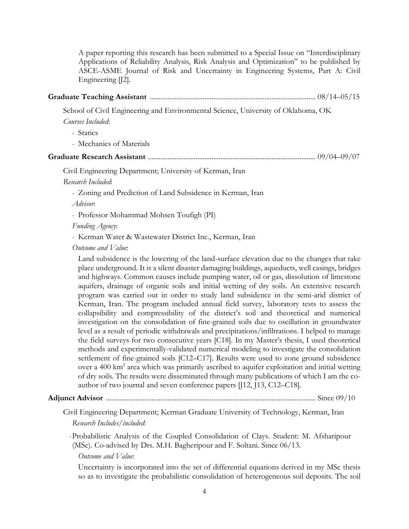A paper reporting this research has been submitted to a Special Issue on "Interdisciplinary Applications of Reliability Analysis, Risk Analysis and Optimization" to be published by ASCE-ASME Journal of Risk and Uncertainty in Engineering Systems, Part A: Civil Engineering [J2].

|--|--|--|--|--|--|--|--|

School of Civil Engineering and Environmental Science, University of Oklahoma, OK

*Courses Included*:

- Statics

- Mechanics of Materials

### **Graduate Research Assistant** ............................................................................................... 09/04–09/07

Civil Engineering Department; University of Kerman, Iran

*Research Included*:

- Zoning and Prediction of Land Subsidence in Kerman, Iran

*Advisor*:

- Professor Mohammad Mohsen Toufigh (PI)

*Funding Agency*:

- Kerman Water & Wastewater District Inc., Kerman, Iran

*Outcome and Value*:

Land subsidence is the lowering of the land-surface elevation due to the changes that take place underground. It is a silent disaster damaging buildings, aqueducts, well casings, bridges and highways. Common causes include pumping water, oil or gas, dissolution of limestone aquifers, drainage of organic soils and initial wetting of dry soils. An extensive research program was carried out in order to study land subsidence in the semi-arid district of Kerman, Iran. The program included annual field survey, laboratory tests to assess the collapsibility and compressibility of the district's soil and theoretical and numerical investigation on the consolidation of fine-grained soils due to oscillation in groundwater level as a result of periodic withdrawals and precipitations/infiltrations. I helped to manage the field surveys for two consecutive years [C18]. In my Master's thesis, I used theoretical methods and experimentally-validated numerical modeling to investigate the consolidation settlement of fine-grained soils [C12–C17]. Results were used to zone ground subsidence over a 400 km<sup>2</sup> area which was primarily ascribed to aquifer exploitation and initial wetting of dry soils. The results were disseminated through many publications of which I am the coauthor of two journal and seven conference papers [J12, J13, C12–C18].

# **Adjunct Advisor** ....................................................................................................................... Since 09/10

Civil Engineering Department; Kerman Graduate University of Technology, Kerman, Iran *Research Includes/included*:

-Probabilistic Analysis of the Coupled Consolidation of Clays. Student: M. Afsharipour (MSc). Co-advised by Drs. M.H. Bagheripour and F. Soltani. Since 06/13.

*Outcome and Value*:

Uncertainty is incorporated into the set of differential equations derived in my MSc thesis so as to investigate the probabilistic consolidation of heterogeneous soil deposits. The soil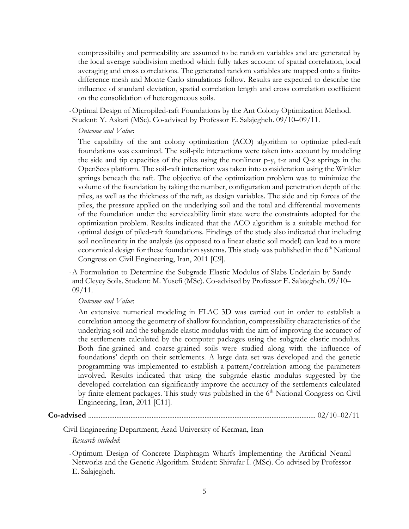compressibility and permeability are assumed to be random variables and are generated by the local average subdivision method which fully takes account of spatial correlation, local averaging and cross correlations. The generated random variables are mapped onto a finitedifference mesh and Monte Carlo simulations follow. Results are expected to describe the influence of standard deviation, spatial correlation length and cross correlation coefficient on the consolidation of heterogeneous soils.

-Optimal Design of Micropiled-raft Foundations by the Ant Colony Optimization Method.

Student: Y. Askari (MSc). Co-advised by Professor E. Salajegheh. 09/10–09/11.

### *Outcome and Value*:

The capability of the ant colony optimization (ACO) algorithm to optimize piled-raft foundations was examined. The soil-pile interactions were taken into account by modeling the side and tip capacities of the piles using the nonlinear p-y, t-z and Q-z springs in the OpenSees platform. The soil-raft interaction was taken into consideration using the Winkler springs beneath the raft. The objective of the optimization problem was to minimize the volume of the foundation by taking the number, configuration and penetration depth of the piles, as well as the thickness of the raft, as design variables. The side and tip forces of the piles, the pressure applied on the underlying soil and the total and differential movements of the foundation under the serviceability limit state were the constraints adopted for the optimization problem. Results indicated that the ACO algorithm is a suitable method for optimal design of piled-raft foundations. Findings of the study also indicated that including soil nonlinearity in the analysis (as opposed to a linear elastic soil model) can lead to a more economical design for these foundation systems. This study was published in the  $6<sup>th</sup>$  National Congress on Civil Engineering, Iran, 2011 [C9].

-A Formulation to Determine the Subgrade Elastic Modulus of Slabs Underlain by Sandy and Cleyey Soils. Student: M. Yusefi (MSc). Co-advised by Professor E. Salajegheh. 09/10–  $09/11.$ 

### *Outcome and Value*:

An extensive numerical modeling in FLAC 3D was carried out in order to establish a correlation among the geometry of shallow foundation, compressibility characteristics of the underlying soil and the subgrade elastic modulus with the aim of improving the accuracy of the settlements calculated by the computer packages using the subgrade elastic modulus. Both fine-grained and coarse-grained soils were studied along with the influence of foundations' depth on their settlements. A large data set was developed and the genetic programming was implemented to establish a pattern/correlation among the parameters involved. Results indicated that using the subgrade elastic modulus suggested by the developed correlation can significantly improve the accuracy of the settlements calculated by finite element packages. This study was published in the  $6<sup>th</sup>$  National Congress on Civil Engineering, Iran, 2011 [C11].

### **Co-advised** ................................................................................................................................. 02/10–02/11

Civil Engineering Department; Azad University of Kerman, Iran

### *Research included*:

-Optimum Design of Concrete Diaphragm Wharfs Implementing the Artificial Neural Networks and the Genetic Algorithm. Student: Shivafar I. (MSc). Co-advised by Professor E. Salajegheh.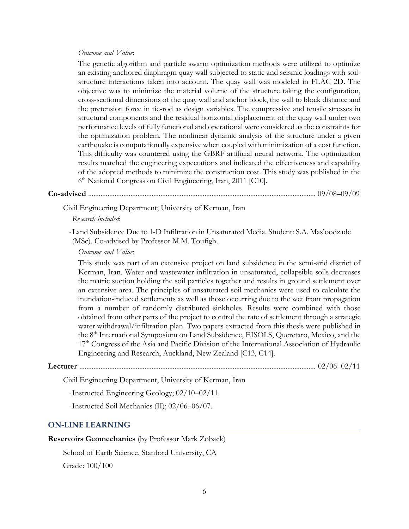### *Outcome and Value*:

The genetic algorithm and particle swarm optimization methods were utilized to optimize an existing anchored diaphragm quay wall subjected to static and seismic loadings with soilstructure interactions taken into account. The quay wall was modeled in FLAC 2D. The objective was to minimize the material volume of the structure taking the configuration, cross-sectional dimensions of the quay wall and anchor block, the wall to block distance and the pretension force in tie-rod as design variables. The compressive and tensile stresses in structural components and the residual horizontal displacement of the quay wall under two performance levels of fully functional and operational were considered as the constraints for the optimization problem. The nonlinear dynamic analysis of the structure under a given earthquake is computationally expensive when coupled with minimization of a cost function. This difficulty was countered using the GBRF artificial neural network. The optimization results matched the engineering expectations and indicated the effectiveness and capability of the adopted methods to minimize the construction cost. This study was published in the 6 th National Congress on Civil Engineering, Iran, 2011 [C10].

**Co-advised** ................................................................................................................................. 09/08–09/09

Civil Engineering Department; University of Kerman, Iran

*Research included*:

-Land Subsidence Due to 1-D Infiltration in Unsaturated Media. Student: S.A. Mas'oodzade (MSc). Co-advised by Professor M.M. Toufigh.

*Outcome and Value*:

This study was part of an extensive project on land subsidence in the semi-arid district of Kerman, Iran. Water and wastewater infiltration in unsaturated, collapsible soils decreases the matric suction holding the soil particles together and results in ground settlement over an extensive area. The principles of unsaturated soil mechanics were used to calculate the inundation-induced settlements as well as those occurring due to the wet front propagation from a number of randomly distributed sinkholes. Results were combined with those obtained from other parts of the project to control the rate of settlement through a strategic water withdrawal/infiltration plan. Two papers extracted from this thesis were published in the 8<sup>th</sup> International Symposium on Land Subsidence, EISOLS, Queretaro, Mexico, and the 17<sup>th</sup> Congress of the Asia and Pacific Division of the International Association of Hydraulic Engineering and Research, Auckland, New Zealand [C13, C14].

**Lecturer** ...................................................................................................................................... 02/06–02/11

Civil Engineering Department, University of Kerman, Iran

-Instructed Engineering Geology; 02/10–02/11.

-Instructed Soil Mechanics (II); 02/06–06/07.

#### **ON-LINE LEARNING**

**Reservoirs Geomechanics** (by Professor Mark Zoback)

School of Earth Science, Stanford University, CA

Grade: 100/100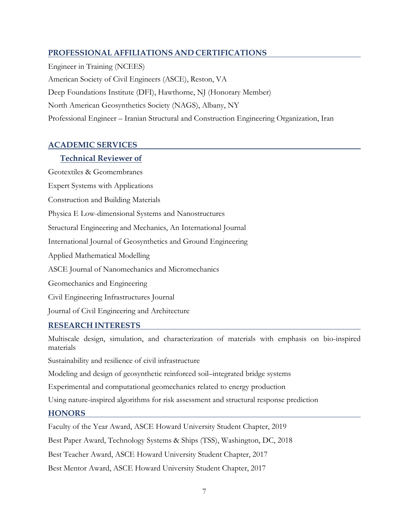# **PROFESSIONAL AFFILIATIONS AND CERTIFICATIONS**

Engineer in Training (NCEES) American Society of Civil Engineers (ASCE), Reston, VA Deep Foundations Institute (DFI), Hawthorne, NJ (Honorary Member) North American Geosynthetics Society (NAGS), Albany, NY Professional Engineer – Iranian Structural and Construction Engineering Organization, Iran

# **ACADEMIC SERVICES**

### **Technical Reviewer of**

Geotextiles & Geomembranes Expert Systems with Applications

Construction and Building Materials

Physica E Low-dimensional Systems and Nanostructures

Structural Engineering and Mechanics, An International Journal

International Journal of Geosynthetics and Ground Engineering

Applied Mathematical Modelling

ASCE Journal of Nanomechanics and Micromechanics

Geomechanics and Engineering

Civil Engineering Infrastructures Journal

Journal of Civil Engineering and Architecture

### **RESEARCH INTERESTS**

Multiscale design, simulation, and characterization of materials with emphasis on bio-inspired materials

Sustainability and resilience of civil infrastructure

Modeling and design of geosynthetic reinforced soil–integrated bridge systems

Experimental and computational geomechanics related to energy production

Using nature-inspired algorithms for risk assessment and structural response prediction

### **HONORS**

Faculty of the Year Award, ASCE Howard University Student Chapter, 2019

Best Paper Award, Technology Systems & Ships (TSS), Washington, DC, 2018

Best Teacher Award, ASCE Howard University Student Chapter, 2017

Best Mentor Award, ASCE Howard University Student Chapter, 2017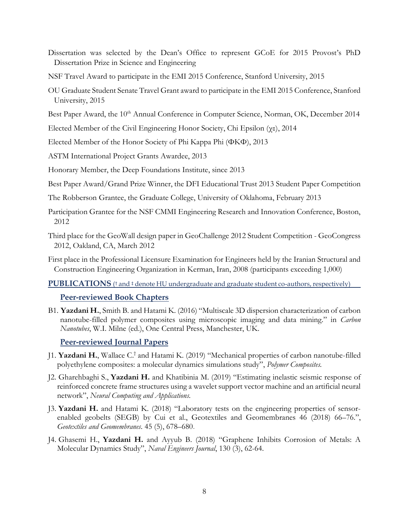- Dissertation was selected by the Dean's Office to represent GCoE for 2015 Provost's PhD Dissertation Prize in Science and Engineering
- NSF Travel Award to participate in the EMI 2015 Conference, Stanford University, 2015
- OU Graduate Student Senate Travel Grant award to participate in the EMI 2015 Conference, Stanford University, 2015

Best Paper Award, the 10<sup>th</sup> Annual Conference in Computer Science, Norman, OK, December 2014

Elected Member of the Civil Engineering Honor Society, Chi Epsilon (χε), 2014

Elected Member of the Honor Society of Phi Kappa Phi (ΦΚΦ), 2013

ASTM International Project Grants Awardee, 2013

Honorary Member, the Deep Foundations Institute, since 2013

Best Paper Award/Grand Prize Winner, the DFI Educational Trust 2013 Student Paper Competition

The Robberson Grantee, the Graduate College, University of Oklahoma, February 2013

- Participation Grantee for the NSF CMMI Engineering Research and Innovation Conference, Boston, 2012
- Third place for the GeoWall design paper in GeoChallenge 2012 Student Competition GeoCongress 2012, Oakland, CA, March 2012

First place in the Professional Licensure Examination for Engineers held by the Iranian Structural and Construction Engineering Organization in Kerman, Iran, 2008 (participants exceeding 1,000)

**PUBLICATIONS** (*†* and *†* denote HU undergraduate and graduate student co-authors, respectively)

### **Peer-reviewed Book Chapters**

B1. **Yazdani H.**, Smith B. and Hatami K. (2016) "Multiscale 3D dispersion characterization of carbon nanotube-filled polymer composites using microscopic imaging and data mining." in *Carbon Nanotubes*, W.I. Milne (ed.), One Central Press, Manchester, UK.

### **Peer-reviewed Journal Papers**

- J1. **Yazdani H.**, Wallace C. † and Hatami K. (2019) "Mechanical properties of carbon nanotube-filled polyethylene composites: a molecular dynamics simulations study", *Polymer Composites.*
- J2. Gharehbaghi S., **Yazdani H.** and Khatibinia M. (2019) "Estimating inelastic seismic response of reinforced concrete frame structures using a wavelet support vector machine and an artificial neural network", *Neural Computing and Applications.*
- J3. **Yazdani H.** and Hatami K. (2018) "Laboratory tests on the engineering properties of sensorenabled geobelts (SEGB) by Cui et al., Geotextiles and Geomembranes 46 (2018) 66–76.", *Geotextiles and Geomembranes*. 45 (5), 678–680.
- J4. Ghasemi H., **Yazdani H.** and Ayyub B. (2018) "Graphene Inhibits Corrosion of Metals: A Molecular Dynamics Study", *Naval Engineers Journal*, 130 (3), 62-64.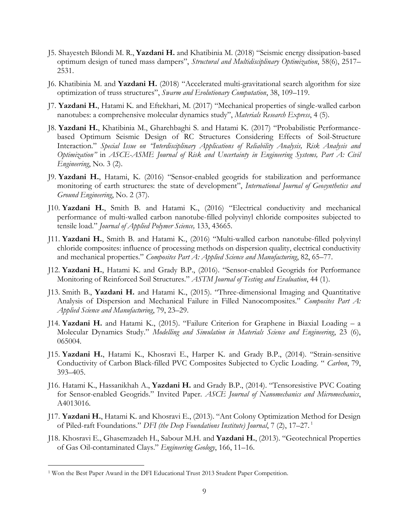- J5. Shayesteh Bilondi M. R., **Yazdani H.** and Khatibinia M. (2018) "Seismic energy dissipation-based optimum design of tuned mass dampers", *Structural and Multidisciplinary Optimization*, 58(6), 2517– 2531.
- J6. Khatibinia M. and **Yazdani H.** (2018) "Accelerated multi-gravitational search algorithm for size optimization of truss structures", *Swarm and Evolutionary Computation*, 38, 109–119.
- J7. **Yazdani H.**, Hatami K. and Eftekhari, M. (2017) "Mechanical properties of single-walled carbon nanotubes: a comprehensive molecular dynamics study", *Materials Research Express*, 4 (5).
- J8. **Yazdani H.**, Khatibinia M., Gharehbaghi S. and Hatami K. (2017) "Probabilistic Performancebased Optimum Seismic Design of RC Structures Considering Effects of Soil-Structure Interaction." *Special Issue on "Interdisciplinary Applications of Reliability Analysis, Risk Analysis and Optimization"* in *ASCE-ASME Journal of Risk and Uncertainty in Engineering Systems, Part A: Civil Engineering*, No. 3 (2).
- J9. **Yazdani H.**, Hatami, K. (2016) "Sensor-enabled geogrids for stabilization and performance monitoring of earth structures: the state of development", *International Journal of Geosynthetics and Ground Engineering*, No. 2 (37).
- J10. **Yazdani H.**, Smith B. and Hatami K., (2016) "Electrical conductivity and mechanical performance of multi-walled carbon nanotube-filled polyvinyl chloride composites subjected to tensile load." *Journal of Applied Polymer Science,* 133, 43665.
- J11. **Yazdani H.**, Smith B. and Hatami K., (2016) "Multi-walled carbon nanotube-filled polyvinyl chloride composites: influence of processing methods on dispersion quality, electrical conductivity and mechanical properties." *Composites Part A: Applied Science and Manufacturing*, 82, 65–77.
- J12. **Yazdani H.**, Hatami K. and Grady B.P., (2016). "Sensor-enabled Geogrids for Performance Monitoring of Reinforced Soil Structures." *ASTM Journal of Testing and Evaluation*, 44 (1).
- J13. Smith B., **Yazdani H.** and Hatami K., (2015). "Three-dimensional Imaging and Quantitative Analysis of Dispersion and Mechanical Failure in Filled Nanocomposites." *Composites Part A: Applied Science and Manufacturing*, 79, 23–29.
- J14. **Yazdani H.** and Hatami K., (2015). "Failure Criterion for Graphene in Biaxial Loading a Molecular Dynamics Study." *Modelling and Simulation in Materials Science and Engineering*, 23 (6), 065004.
- J15. **Yazdani H.**, Hatami K., Khosravi E., Harper K. and Grady B.P., (2014). "Strain-sensitive Conductivity of Carbon Black-filled PVC Composites Subjected to Cyclic Loading. " *Carbon*, 79, 393–405.
- J16. Hatami K., Hassanikhah A., **Yazdani H.** and Grady B.P., (2014). "Tensoresistive PVC Coating for Sensor-enabled Geogrids." Invited Paper. *ASCE Journal of Nanomechanics and Micromechanics*, A4013016.
- J17. **Yazdani H.**, Hatami K. and Khosravi E., (2013). "Ant Colony Optimization Method for Design of Piled-raft Foundations." *DFI (the Deep Foundations Institute) Journal*, 7 (2), 17–27. <sup>1</sup>
- J18. Khosravi E., Ghasemzadeh H., Sabour M.H. and **Yazdani H.**, (2013). "Geotechnical Properties of Gas Oil-contaminated Clays." *Engineering Geology*, 166, 11–16.

 $\overline{a}$ 

<sup>1</sup> Won the Best Paper Award in the DFI Educational Trust 2013 Student Paper Competition.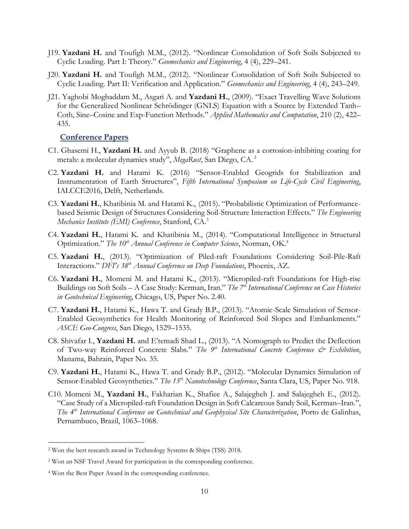- J19. **Yazdani H.** and Toufigh M.M., (2012). "Nonlinear Consolidation of Soft Soils Subjected to Cyclic Loading. Part I: Theory." *Geomechanics and Engineering*, 4 (4), 229–241.
- J20. **Yazdani H.** and Toufigh M.M., (2012). "Nonlinear Consolidation of Soft Soils Subjected to Cyclic Loading. Part II: Verification and Application." *Geomechanics and Engineering*, 4 (4), 243–249.
- J21. Yaghobi Moghaddam M., Asgari A. and **Yazdani H.**, (2009). "Exact Travelling Wave Solutions for the Generalized Nonlinear Schrödinger (GNLS) Equation with a Source by Extended Tanh– Coth, Sine–Cosine and Exp-Function Methods." *Applied Mathematics and Computation*, 210 (2), 422– 435.

#### **Conference Papers**

- C1. Ghasemi H., **Yazdani H.** and Ayyub B. (2018) "Graphene as a corrosion-inhibiting coating for metals: a molecular dynamics study", *MegaRust*, San Diego, CA. 2
- C2. **Yazdani H.** and Hatami K. (2016) "Sensor-Enabled Geogrids for Stabilization and Instrumentation of Earth Structures", *Fifth International Symposium on Life-Cycle Civil Engineering*, IALCCE2016, Delft, Netherlands.
- C3. **Yazdani H.**, Khatibinia M. and Hatami K., (2015). "Probabilistic Optimization of Performancebased Seismic Design of Structures Considering Soil-Structure Interaction Effects." *The Engineering Mechanics Institute (EMI) Conference*, Stanford, CA.<sup>3</sup>
- C4. **Yazdani H.**, Hatami K. and Khatibinia M., (2014). "Computational Intelligence in Structural Optimization." *The 10th Annual Conference in Computer Science*, Norman, OK.<sup>4</sup>
- C5. **Yazdani H.**, (2013). "Optimization of Piled-raft Foundations Considering Soil-Pile-Raft Interactions." *DFI's 38th Annual Conference on Deep Foundations*, Phoenix, AZ.
- C6. **Yazdani H.**, Momeni M. and Hatami K., (2013). "Micropiled-raft Foundations for High-rise Buildings on Soft Soils – A Case Study: Kerman, Iran." *The 7th International Conference on Case Histories in Geotechnical Engineering*, Chicago, US, Paper No. 2.40.
- C7. **Yazdani H.**, Hatami K., Hawa T. and Grady B.P., (2013). "Atomic-Scale Simulation of Sensor-Enabled Geosynthetics for Health Monitoring of Reinforced Soil Slopes and Embankments." *ASCE Geo-Congress*, San Diego, 1529–1535.
- C8. Shivafar I., **Yazdani H.** and E'temadi Shad L., (2013). "A Nomograph to Predict the Deflection of Two-way Reinforced Concrete Slabs." *The 9th International Concrete Conference & Exhibition*, Manama, Bahrain, Paper No. 35.
- C9. **Yazdani H.**, Hatami K., Hawa T. and Grady B.P., (2012). "Molecular Dynamics Simulation of Sensor-Enabled Geosynthetics." *The 15th Nanotechnology Conference*, Santa Clara, US, Paper No. 918.
- C10. Momeni M., **Yazdani H.**, Fakharian K., Shafiee A., Salajegheh J. and Salajegheh E., (2012). "Case Study of a Micropiled-raft Foundation Design in Soft Calcareous Sandy Soil, Kerman–Iran.", *The 4th International Conference on Geotechnical and Geophysical Site Characterization*, Porto de Galinhas, Pernambuco, Brazil, 1063–1068.

 $\overline{a}$ 

<sup>2</sup> Won the best research award in Technology Systems & Ships (TSS) 2018.

<sup>3</sup> Won an NSF Travel Award for participation in the corresponding conference.

<sup>4</sup> Won the Best Paper Award in the corresponding conference.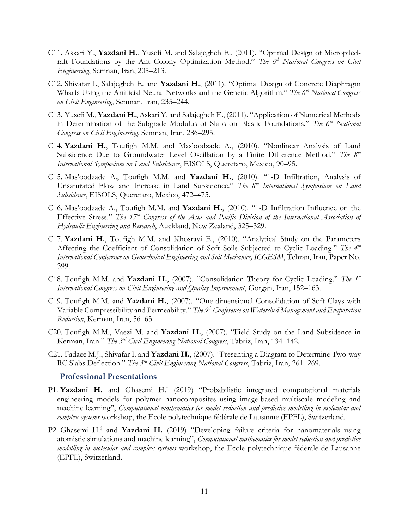- C11. Askari Y., **Yazdani H.**, Yusefi M. and Salajegheh E., (2011). "Optimal Design of Micropiledraft Foundations by the Ant Colony Optimization Method." *The 6th National Congress on Civil Engineering*, Semnan, Iran, 205–213.
- C12. Shivafar I., Salajegheh E. and **Yazdani H.**, (2011). "Optimal Design of Concrete Diaphragm Wharfs Using the Artificial Neural Networks and the Genetic Algorithm." *The 6th National Congress on Civil Engineering*, Semnan, Iran, 235–244.
- C13. Yusefi M., **Yazdani H.**, Askari Y. and Salajegheh E., (2011). "Application of Numerical Methods in Determination of the Subgrade Modulus of Slabs on Elastic Foundations." *The 6th National Congress on Civil Engineering*, Semnan, Iran, 286–295.
- C14. **Yazdani H.**, Toufigh M.M. and Mas'oodzade A., (2010). "Nonlinear Analysis of Land Subsidence Due to Groundwater Level Oscillation by a Finite Difference Method." *The 8th International Symposium on Land Subsidence*, EISOLS, Queretaro, Mexico, 90–95.
- C15. Mas'oodzade A., Toufigh M.M. and **Yazdani H.**, (2010). "1-D Infiltration, Analysis of Unsaturated Flow and Increase in Land Subsidence." *The 8th International Symposium on Land Subsidence*, EISOLS, Queretaro, Mexico, 472–475.
- C16. Mas'oodzade A., Toufigh M.M. and **Yazdani H.**, (2010). "1-D Infiltration Influence on the Effective Stress." *The 17th Congress of the Asia and Pacific Division of the International Association of Hydraulic Engineering and Research*, Auckland, New Zealand, 325–329.
- C17. **Yazdani H.**, Toufigh M.M. and Khosravi E., (2010). "Analytical Study on the Parameters Affecting the Coefficient of Consolidation of Soft Soils Subjected to Cyclic Loading." *The 4th International Conference on Geotechnical Engineering and Soil Mechanics, ICGESM*, Tehran, Iran, Paper No. 399.
- C18. Toufigh M.M. and **Yazdani H.**, (2007). "Consolidation Theory for Cyclic Loading." *The 1st International Congress on Civil Engineering and Quality Improvement*, Gorgan, Iran, 152–163.
- C19. Toufigh M.M. and **Yazdani H.**, (2007). "One-dimensional Consolidation of Soft Clays with Variable Compressibility and Permeability." *The 9th Conference on Watershed Management and Evaporation Reduction*, Kerman, Iran, 56–63.
- C20. Toufigh M.M., Vaezi M. and **Yazdani H.**, (2007). "Field Study on the Land Subsidence in Kerman, Iran." *The 3rd Civil Engineering National Congress*, Tabriz, Iran, 134–142.
- C21. Fadaee M.J., Shivafar I. and **Yazdani H.**, (2007). "Presenting a Diagram to Determine Two-way RC Slabs Deflection." *The 3rd Civil Engineering National Congress*, Tabriz, Iran, 261–269.

#### **Professional Presentations**

- P1. Yazdani H. and Ghasemi H.<sup>‡</sup> (2019) "Probabilistic integrated computational materials engineering models for polymer nanocomposites using image-based multiscale modeling and machine learning", *Computational mathematics for model reduction and predictive modelling in molecular and complex systems* workshop, the Ecole polytechnique fédérale de Lausanne (EPFL), Switzerland.
- P2. Ghasemi H.<sup>‡</sup> and Yazdani H. (2019) "Developing failure criteria for nanomaterials using atomistic simulations and machine learning", *Computational mathematics for model reduction and predictive modelling in molecular and complex systems* workshop, the Ecole polytechnique fédérale de Lausanne (EPFL), Switzerland.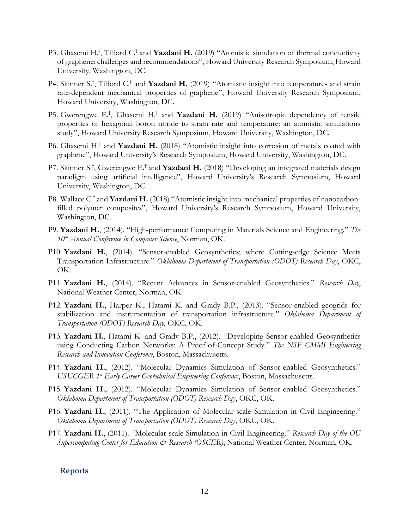- P3. Ghasemi H.<sup>‡</sup>, Tilford C.<sup>†</sup> and **Yazdani H.** (2019) "Atomistic simulation of thermal conductivity of graphene: challenges and recommendations", Howard University Research Symposium, Howard University, Washington, DC.
- P4. Skinner S.<sup>†</sup>, Tilford C.<sup>†</sup> and **Yazdani H.** (2019) "Atomistic insight into temperature- and strain rate-dependent mechanical properties of graphene", Howard University Research Symposium, Howard University, Washington, DC.
- P5. Gwerengwe E.<sup>†</sup>, Ghasemi H.<sup>‡</sup> and **Yazdani H.** (2019) "Anisotropic dependency of tensile properties of hexagonal boron nitride to strain rate and temperature: an atomistic simulations study", Howard University Research Symposium, Howard University, Washington, DC.
- P6. Ghasemi H.<sup>‡</sup> and Yazdani H. (2018) "Atomistic insight into corrosion of metals coated with graphene", Howard University's Research Symposium, Howard University, Washington, DC.
- P7. Skinner S.<sup>†</sup>, Gwerengwe E.<sup>†</sup> and **Yazdani H.** (2018) "Developing an integrated materials design paradigm using artificial intelligence", Howard University's Research Symposium, Howard University, Washington, DC.
- P8. Wallace C.<sup>†</sup> and Yazdani H. (2018) "Atomistic insight into mechanical properties of nanocarbonfilled polymer composites", Howard University's Research Symposium, Howard University, Washington, DC.
- P9. **Yazdani H.**, (2014). "High-performance Computing in Materials Science and Engineering." *The 10th Annual Conference in Computer Science*, Norman, OK.
- P10. **Yazdani H.**, (2014). "Sensor-enabled Geosynthetics; where Cutting-edge Science Meets Transportation Infrastructure." *Oklahoma Department of Transportation (ODOT) Research Day*, OKC, OK.
- P11. **Yazdani H.**, (2014). "Recent Advances in Sensor-enabled Geosynthetics." *Research Day*, National Weather Center, Norman, OK.
- P12. **Yazdani H.**, Harper K., Hatami K. and Grady B.P., (2013). "Sensor-enabled geogrids for stabilization and instrumentation of transportation infrastructure." *Oklahoma Department of Transportation (ODOT) Research Day*, OKC, OK.
- P13. **Yazdani H.**, Hatami K. and Grady B.P., (2012). "Developing Sensor-enabled Geosynthetics using Conducting Carbon Networks: A Proof-of-Concept Study." *The NSF CMMI Engineering Research and Innovation Conference*, Boston, Massachusetts.
- P14. **Yazdani H.**, (2012). "Molecular Dynamics Simulation of Sensor-enabled Geosynthetics." *USUCGER 1st Early Career Geotechnical Engineering Conference*, Boston, Massachusetts.
- P15. **Yazdani H.**, (2012). "Molecular Dynamics Simulation of Sensor-enabled Geosynthetics." *Oklahoma Department of Transportation (ODOT) Research Day*, OKC, OK.
- P16. **Yazdani H.**, (2011). "The Application of Molecular-scale Simulation in Civil Engineering." *Oklahoma Department of Transportation (ODOT) Research Day*, OKC, OK.
- P17. **Yazdani H.**, (2011). "Molecular-scale Simulation in Civil Engineering." *Research Day of the OU Supercomputing Center for Education & Research (OSCER)*, National Weather Center, Norman, OK.

#### **Reports**